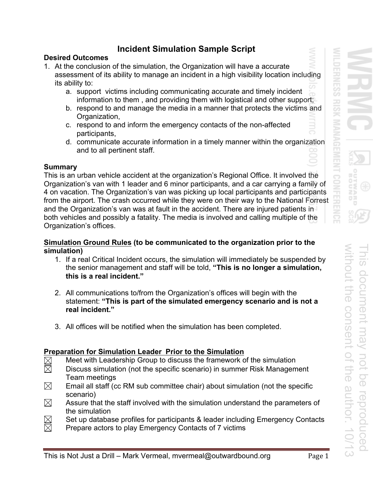# **Incident Simulation Sample Script**

## **Desired Outcomes**

- 1. At the conclusion of the simulation, the Organization will have a accurate assessment of its ability to manage an incident in a high visibility location including its ability to:
	- a. support victims including communicating accurate and timely incident information to them , and providing them with logistical and other support;
	- b. respond to and manage the media in a manner that protects the victims and Organization,
	- c. respond to and inform the emergency contacts of the non-affected participants,
	- d. communicate accurate information in a timely manner within the organization and to all pertinent staff.

## **Summary**

This is an urban vehicle accident at the organization's Regional Office. It involved the Organization's van with 1 leader and 6 minor participants, and a car carrying a family of 4 on vacation. The Organization's van was picking up local participants and participants from the airport. The crash occurred while they were on their way to the National Forrest and the Organization's van was at fault in the accident. There are injured patients in both vehicles and possibly a fatality. The media is involved and calling multiple of the Organization's offices.

## **Simulation Ground Rules (to be communicated to the organization prior to the simulation)**

- 1. If a real Critical Incident occurs, the simulation will immediately be suspended by the senior management and staff will be told, **"This is no longer a simulation, this is a real incident."**
- 2. All communications to/from the Organization's offices will begin with the statement: **"This is part of the simulated emergency scenario and is not a real incident."**
- 3. All offices will be notified when the simulation has been completed.

# **Preparation for Simulation Leader Prior to the Simulation**

- $\boxtimes$ Meet with Leadership Group to discuss the framework of the simulation
- $\boxtimes$ Discuss simulation (not the specific scenario) in summer Risk Management Team meetings
- $\boxtimes$  Email all staff (cc RM sub committee chair) about simulation (not the specific scenario)
- $\boxtimes$  Assure that the staff involved with the simulation understand the parameters of the simulation
- $\boxtimes$  Set up database profiles for participants & leader including Emergency Contacts  $\boxtimes$  Prepare actors to play Emergency Contacts of 7 victims
- Prepare actors to play Emergency Contacts of 7 victims

ロス а

**INESS** 

 $rac{1}{5}$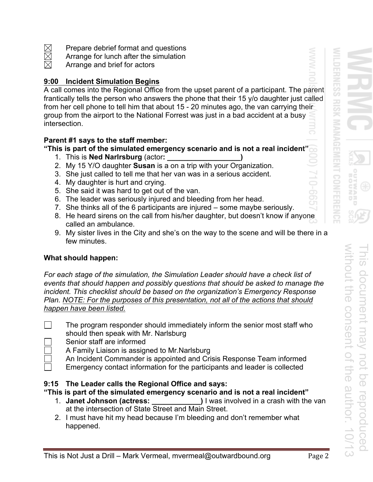- $\boxtimes$  Prepare debrief format and questions<br> $\boxtimes$  Arrange for lunch after the simulation
- $\boxtimes$  Arrange for lunch after the simulation<br> $\boxtimes$  Arrange and brief for actors
- Arrange and brief for actors

## **9:00 Incident Simulation Begins**

A call comes into the Regional Office from the upset parent of a participant. The parent frantically tells the person who answers the phone that their 15 y/o daughter just called from her cell phone to tell him that about 15 - 20 minutes ago, the van carrying their group from the airport to the National Forrest was just in a bad accident at a busy intersection.

## **Parent #1 says to the staff member:**

**"This is part of the simulated emergency scenario and is not a real incident"** 

- 1. This is **Ned Narlrsburg** (actor**: \_\_\_\_\_\_\_\_\_\_\_\_\_\_\_\_\_\_)**
- 2. My 15 Y/O daughter **Susan** is a on a trip with your Organization.
- 3. She just called to tell me that her van was in a serious accident.
- 4. My daughter is hurt and crying.
- 5. She said it was hard to get out of the van.
- 6. The leader was seriously injured and bleeding from her head.
- 7. She thinks all of the 6 participants are injured some maybe seriously.
- 8. He heard sirens on the call from his/her daughter, but doesn't know if anyone called an ambulance.
- 9. My sister lives in the City and she's on the way to the scene and will be there in a few minutes.

## **What should happen:**

*For each stage of the simulation, the Simulation Leader should have a check list of events that should happen and possibly questions that should be asked to manage the incident. This checklist should be based on the organization's Emergency Response Plan. NOTE: For the purposes of this presentation, not all of the actions that should happen have been listed.* 

 The program responder should immediately inform the senior most staff who should then speak with Mr. Narlsburg

- Senior staff are informed
- A Family Liaison is assigned to Mr.Narlsburg
	- An Incident Commander is appointed and Crisis Response Team informed
	- Emergency contact information for the participants and leader is collected

## **9:15 The Leader calls the Regional Office and says:**

**"This is part of the simulated emergency scenario and is not a real incident"** 

- 1. **Janet Johnson (actress: \_\_\_\_\_\_\_\_\_\_\_\_)** I was involved in a crash with the van at the intersection of State Street and Main Street.
- 2. I must have hit my head because I'm bleeding and don't remember what happened.

without the consent of the author. 10/13

without the consent of the author. 10/13

σR  $\Box$ 

**DERNESS** 

**RISK** 

This document may not be reproduced

document may not be reproduced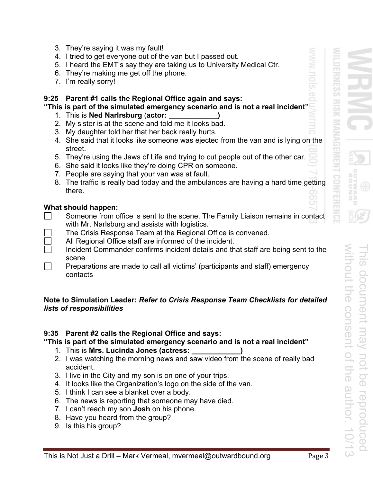- 3. They're saying it was my fault!
- 4. I tried to get everyone out of the van but I passed out.
- 5. I heard the EMT's say they are taking us to University Medical Ctr.
- 6. They're making me get off the phone.
- 7. I'm really sorry!

#### **9:25 Parent #1 calls the Regional Office again and says:**

#### **"This is part of the simulated emergency scenario and is not a real incident"**

- 1. This is **Ned Narlrsburg** (**actor: \_\_\_\_\_\_\_\_\_\_\_\_)**
- 2. My sister is at the scene and told me it looks bad.
- 3. My daughter told her that her back really hurts.
- 4. She said that it looks like someone was ejected from the van and is lying on the street.
- 5. They're using the Jaws of Life and trying to cut people out of the other car.
- 6. She said it looks like they're doing CPR on someone.
- 7. People are saying that your van was at fault.
- 8. The traffic is really bad today and the ambulances are having a hard time getting there.

### **What should happen:**

- $\Box$  Someone from office is sent to the scene. The Family Liaison remains in contact with Mr. Narlsburg and assists with logistics.
	- The Crisis Response Team at the Regional Office is convened.
	- All Regional Office staff are informed of the incident.
	- Incident Commander confirms incident details and that staff are being sent to the scene
- $\Box$  Preparations are made to call all victims' (participants and staff) emergency contacts

### **Note to Simulation Leader:** *Refer to Crisis Response Team Checklists for detailed lists of responsibilities*

#### **9:35 Parent #2 calls the Regional Office and says:**

# **"This is part of the simulated emergency scenario and is not a real incident"**

- 1. This is **Mrs. Lucinda Jones (actress: \_\_\_\_\_\_\_\_\_\_\_\_)**
- 2. I was watching the morning news and saw video from the scene of really bad accident.
- 3. I live in the City and my son is on one of your trips.
- 4. It looks like the Organization's logo on the side of the van.
- 5. I think I can see a blanket over a body.
- 6. The news is reporting that someone may have died.
- 7. I can't reach my son **Josh** on his phone.
- 8. Have you heard from the group?
- 9. Is this his group?

σR

**ERNES** 

co  $\frac{1}{\sqrt{2}}$ 

O.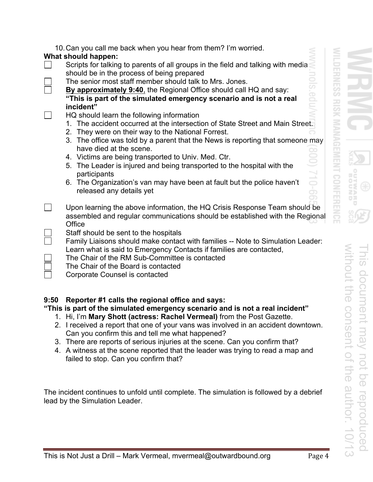|  | 10. Can you call me back when you hear from them? I'm worried. |
|--|----------------------------------------------------------------|
|--|----------------------------------------------------------------|

# **What should happen:**

- Scripts for talking to parents of all groups in the field and talking with media should be in the process of being prepared
	- The senior most staff member should talk to Mrs. Jones.
- **By approximately 9:40**, the Regional Office should call HQ and say: **"This is part of the simulated emergency scenario and is not a real incident"**
- $\Box$  HQ should learn the following information
	- 1. The accident occurred at the intersection of State Street and Main Street.
	- 2. They were on their way to the National Forrest.
	- 3. The office was told by a parent that the News is reporting that someone may have died at the scene.
	- 4. Victims are being transported to Univ. Med. Ctr.
	- 5. The Leader is injured and being transported to the hospital with the participants
	- 6. The Organization's van may have been at fault but the police haven't released any details yet
- **Upon learning the above information, the HQ Crisis Response Team should be** assembled and regular communications should be established with the Regional **Office** 
	- Staff should be sent to the hospitals
	- Family Liaisons should make contact with families -- Note to Simulation Leader: Learn what is said to Emergency Contacts if families are contacted,
		- The Chair of the RM Sub-Committee is contacted
		- The Chair of the Board is contacted
	- Corporate Counsel is contacted

# **9:50 Reporter #1 calls the regional office and says:**

# **"This is part of the simulated emergency scenario and is not a real incident"**

- 1. Hi, I'm **Mary Shott (actress: Rachel Vermeal)** from the Post Gazette.
- 2. I received a report that one of your vans was involved in an accident downtown. Can you confirm this and tell me what happened?
- 3. There are reports of serious injuries at the scene. Can you confirm that?
- 4. A witness at the scene reported that the leader was trying to read a map and failed to stop. Can you confirm that?

The incident continues to unfold until complete. The simulation is followed by a debrief lead by the Simulation Leader.

**DERNESS** 

**RISK**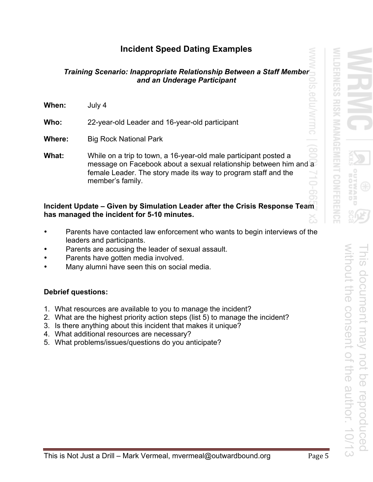# **Incident Speed Dating Examples**

## *Training Scenario: Inappropriate Relationship Between a Staff Member and an Underage Participant*

| When:  | July 4                                         |
|--------|------------------------------------------------|
| Who:   | 22-year-old Leader and 16-year-old participant |
| Where: | <b>Big Rock National Park</b>                  |

**What:** While on a trip to town, a 16-year-old male participant posted a message on Facebook about a sexual relationship between him and a female Leader. The story made its way to program staff and the member's family.

# **Incident Update – Given by Simulation Leader after the Crisis Response Team has managed the incident for 5-10 minutes.**

- Parents have contacted law enforcement who wants to begin interviews of the leaders and participants.
- Parents are accusing the leader of sexual assault.
- Parents have gotten media involved.
- Many alumni have seen this on social media.

# **Debrief questions:**

- 1. What resources are available to you to manage the incident?
- 2. What are the highest priority action steps (list 5) to manage the incident?
- 3. Is there anything about this incident that makes it unique?
- 4. What additional resources are necessary?
- 5. What problems/issues/questions do you anticipate?

**CHANES** 

co ES<br>S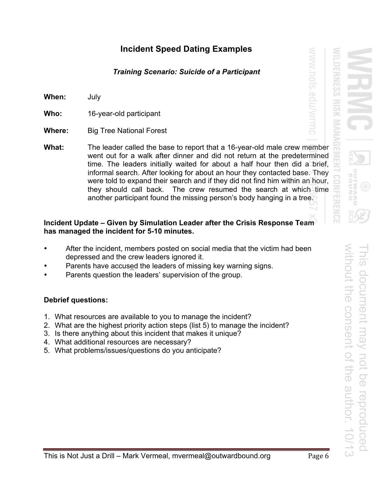# **Incident Speed Dating Examples**

# *Training Scenario: Suicide of a Participant*

**When:** July

**Who:** 16-year-old participant

- **Where:** Big Tree National Forest
- **What:** The leader called the base to report that a 16-year-old male crew member went out for a walk after dinner and did not return at the predetermined time. The leaders initially waited for about a half hour then did a brief, informal search. After looking for about an hour they contacted base. They were told to expand their search and if they did not find him within an hour, they should call back. The crew resumed the search at which time another participant found the missing person's body hanging in a tree.

### **Incident Update – Given by Simulation Leader after the Crisis Response Team has managed the incident for 5-10 minutes.**

- After the incident, members posted on social media that the victim had been depressed and the crew leaders ignored it.
- Parents have accused the leaders of missing key warning signs.
- Parents question the leaders' supervision of the group.

## **Debrief questions:**

- 1. What resources are available to you to manage the incident?
- 2. What are the highest priority action steps (list 5) to manage the incident?
- 3. Is there anything about this incident that makes it unique?
- 4. What additional resources are necessary?
- 5. What problems/issues/questions do you anticipate?

ロス Ū

**EFAIRES** 

co ES<br>S

Gdu/Wrmc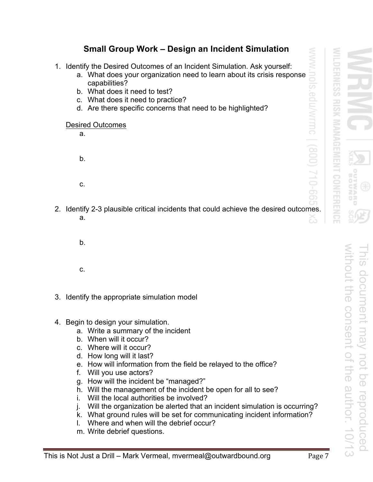# **Small Group Work – Design an Incident Simulation**

- 1. Identify the Desired Outcomes of an Incident Simulation. Ask yourself:
	- a. What does your organization need to learn about its crisis response capabilities?
	- b. What does it need to test?
	- c. What does it need to practice?
	- d. Are there specific concerns that need to be highlighted?

#### Desired Outcomes

a. b.

c.

- 2. Identify 2-3 plausible critical incidents that could achieve the desired outcomes. a.
	- b.

c.

3. Identify the appropriate simulation model

## 4. Begin to design your simulation.

- a. Write a summary of the incident
- b. When will it occur?
- c. Where will it occur?
- d. How long will it last?
- e. How will information from the field be relayed to the office?
- f. Will you use actors?
- g. How will the incident be "managed?"
- h. Will the management of the incident be open for all to see?
- i. Will the local authorities be involved?
- j. Will the organization be alerted that an incident simulation is occurring?
- k. What ground rules will be set for communicating incident information?
- l. Where and when will the debrief occur?
- m. Write debrief questions.

σR

**DERNES** 

co ES<br>S

j<br>Vud

**MITTIC** 

SO

 $10-66$